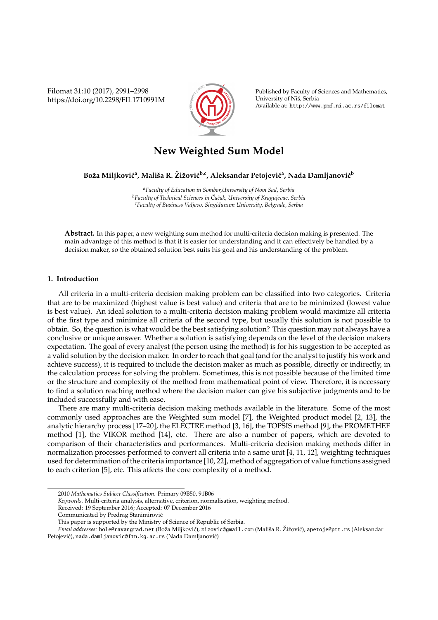Filomat 31:10 (2017), 2991–2998 https://doi.org/10.2298/FIL1710991M



Published by Faculty of Sciences and Mathematics, University of Niš, Serbia Available at: http://www.pmf.ni.ac.rs/filomat

# **New Weighted Sum Model**

Boža Miljkovićª, Mališa R. Žižović<sup>b,c</sup>, Aleksandar Petojevićª, Nada Damljanović<sup>b</sup>

*<sup>a</sup>Faculty of Education in Sombor,University of Novi Sad, Serbia <sup>b</sup>Faculty of Technical Sciences in Caˇcak, University of Kragujevac, Serbia ˇ <sup>c</sup>Faculty of Business Valjevo, Singidunum University, Belgrade, Serbia*

**Abstract.** In this paper, a new weighting sum method for multi-criteria decision making is presented. The main advantage of this method is that it is easier for understanding and it can effectively be handled by a decision maker, so the obtained solution best suits his goal and his understanding of the problem.

## **1. Introduction**

All criteria in a multi-criteria decision making problem can be classified into two categories. Criteria that are to be maximized (highest value is best value) and criteria that are to be minimized (lowest value is best value). An ideal solution to a multi-criteria decision making problem would maximize all criteria of the first type and minimize all criteria of the second type, but usually this solution is not possible to obtain. So, the question is what would be the best satisfying solution? This question may not always have a conclusive or unique answer. Whether a solution is satisfying depends on the level of the decision makers expectation. The goal of every analyst (the person using the method) is for his suggestion to be accepted as a valid solution by the decision maker. In order to reach that goal (and for the analyst to justify his work and achieve success), it is required to include the decision maker as much as possible, directly or indirectly, in the calculation process for solving the problem. Sometimes, this is not possible because of the limited time or the structure and complexity of the method from mathematical point of view. Therefore, it is necessary to find a solution reaching method where the decision maker can give his subjective judgments and to be included successfully and with ease.

There are many multi-criteria decision making methods available in the literature. Some of the most commonly used approaches are the Weighted sum model [7], the Weighted product model [2, 13], the analytic hierarchy process [17–20], the ELECTRE method [3, 16], the TOPSIS method [9], the PROMETHEE method [1], the VIKOR method [14], etc. There are also a number of papers, which are devoted to comparison of their characteristics and performances. Multi-criteria decision making methods differ in normalization processes performed to convert all criteria into a same unit [4, 11, 12], weighting techniques used for determination of the criteria importance [10, 22], method of aggregation of value functions assigned to each criterion [5], etc. This affects the core complexity of a method.

<sup>2010</sup> *Mathematics Subject Classification*. Primary 09B50, 91B06

*Keywords*. Multi-criteria analysis, alternative, criterion, normalisation, weighting method.

Received: 19 September 2016; Accepted: 07 December 2016

Communicated by Predrag Stanimirovic´

This paper is supported by the Ministry of Science of Republic of Serbia.

*Email addresses:* bole@ravangrad.net (Boža Miljković), zizovic@gmail.com (Mališa R. Žižović), apetoje@ptt.rs (Aleksandar Petojević), nada.damljanovic@ftn.kg.ac.rs (Nada Damljanović)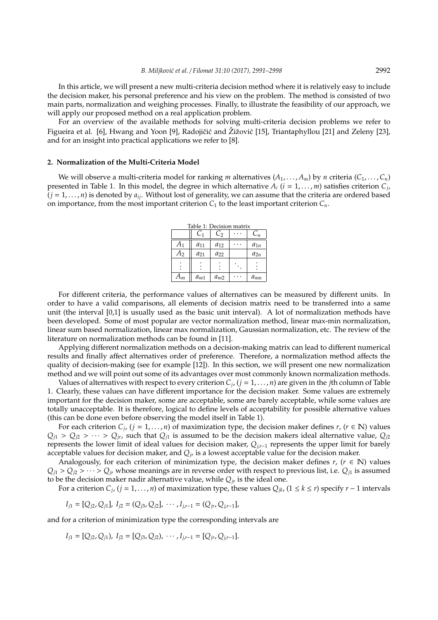In this article, we will present a new multi-criteria decision method where it is relatively easy to include the decision maker, his personal preference and his view on the problem. The method is consisted of two main parts, normalization and weighing processes. Finally, to illustrate the feasibility of our approach, we will apply our proposed method on a real application problem.

For an overview of the available methods for solving multi-criteria decision problems we refer to Figueira et al. [6], Hwang and Yoon [9], Radojičić and Žižović [15], Triantaphyllou [21] and Zeleny [23], and for an insight into practical applications we refer to [8].

## **2. Normalization of the Multi-Criteria Model**

We will observe a multi-criteria model for ranking *m* alternatives  $(A_1, \ldots, A_m)$  by *n* criteria  $(C_1, \ldots, C_n)$ presented in Table 1. In this model, the degree in which alternative *A<sup>i</sup>* (*i* = 1, . . . , *m*) satisfies criterion *C<sup>j</sup>* ,  $(j = 1, \ldots, n)$  is denoted by  $a_{ij}$ . Without lost of generality, we can assume that the criteria are ordered based on importance, from the most important criterion  $C_1$  to the least important criterion  $C_n$ .

| Table 1: Decision matrix |          |          |  |          |  |  |
|--------------------------|----------|----------|--|----------|--|--|
|                          | C1       | $C_2$    |  | $C_n$    |  |  |
| $A_1$                    | $a_{11}$ | $a_{12}$ |  | $a_{1n}$ |  |  |
| $A_2$                    | $a_{21}$ | $a_{22}$ |  | $a_{2n}$ |  |  |
|                          |          |          |  |          |  |  |
| $A_m$                    | $a_{m1}$ | $a_{m2}$ |  | $a_{mn}$ |  |  |

For different criteria, the performance values of alternatives can be measured by different units. In order to have a valid comparisons, all elements of decision matrix need to be transferred into a same unit (the interval [0,1] is usually used as the basic unit interval). A lot of normalization methods have been developed. Some of most popular are vector normalization method, linear max-min normalization, linear sum based normalization, linear max normalization, Gaussian normalization, etc. The review of the literature on normalization methods can be found in [11].

Applying different normalization methods on a decision-making matrix can lead to different numerical results and finally affect alternatives order of preference. Therefore, a normalization method affects the quality of decision-making (see for example [12]). In this section, we will present one new normalization method and we will point out some of its advantages over most commonly known normalization methods.

Values of alternatives with respect to every criterion *C<sup>j</sup>* , (*j* = 1, . . . , *n*) are given in the *j*th column of Table 1. Clearly, these values can have different importance for the decision maker. Some values are extremely important for the decision maker, some are acceptable, some are barely acceptable, while some values are totally unacceptable. It is therefore, logical to define levels of acceptability for possible alternative values (this can be done even before observing the model itself in Table 1).

For each criterion  $C_j$ ,  $(j = 1, ..., n)$  of maximization type, the decision maker defines  $r$ ,  $(r \in \mathbb{N})$  values  $Q_{j1} > Q_{j2} > \cdots > Q_{jr}$ , such that  $Q_{j1}$  is assumed to be the decision makers ideal alternative value,  $Q_{j2}$ represents the lower limit of ideal values for decision maker, *Qj*,*r*−<sup>1</sup> represents the upper limit for barely acceptable values for decision maker, and  $Q<sub>jr</sub>$  is a lowest acceptable value for the decision maker.

Analogously, for each criterion of minimization type, the decision maker defines  $r$ , ( $r \in \mathbb{N}$ ) values  $Q_{i1} > Q_{i2} > \cdots > Q_{ir}$  whose meanings are in reverse order with respect to previous list, i.e.  $Q_{i1}$  is assumed to be the decision maker nadir alternative value, while  $Q_{ir}$  is the ideal one.

For a criterion  $C_j$ ,  $(j = 1, ..., n)$  of maximization type, these values  $Q_{jk}$ ,  $(1 \le k \le r)$  specify  $r - 1$  intervals

$$
I_{j1} = [Q_{j2}, Q_{j1}], I_{j2} = (Q_{j3}, Q_{j2}], \cdots, I_{j,r-1} = (Q_{jr}, Q_{j,r-1}],
$$

and for a criterion of minimization type the corresponding intervals are

$$
I_{j1} = [Q_{j2}, Q_{j1}), I_{j2} = [Q_{j3}, Q_{j2}), \cdots, I_{j,r-1} = [Q_{jr}, Q_{jr-1}].
$$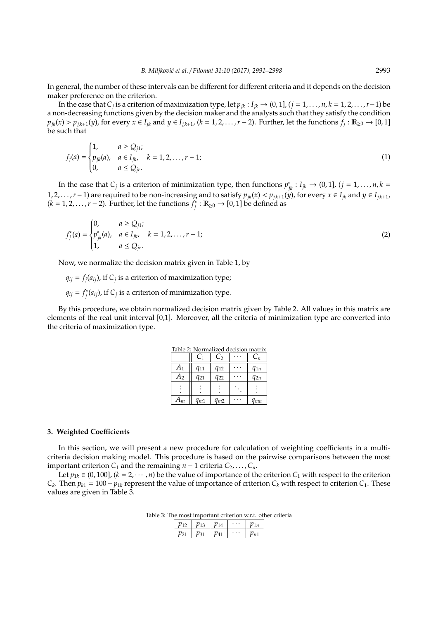In general, the number of these intervals can be different for different criteria and it depends on the decision maker preference on the criterion.

In the case that  $C_j$  is a criterion of maximization type, let  $p_{jk}: I_{jk} → (0, 1]$ ,  $(j = 1, …, n, k = 1, 2, …, r−1)$  be a non-decreasing functions given by the decision maker and the analysts such that they satisfy the condition  $p_{jk}(x) > p_{j,k+1}(y)$ , for every  $x \in I_{jk}$  and  $y \in I_{j,k+1}$ ,  $(k = 1, 2, ..., r-2)$ . Further, let the functions  $f_j : \mathbb{R}_{\geq 0} \to [0,1]$ be such that

$$
f_j(a) = \begin{cases} 1, & a \ge Q_{j1}; \\ p_{jk}(a), & a \in I_{jk}, \\ 0, & a \le Q_{jr}. \end{cases} \quad k = 1, 2, \dots, r - 1; \tag{1}
$$

In the case that *C<sub>j</sub>* is a criterion of minimization type, then functions  $p_{jk}^* : I_{jk} \to (0,1]$ ,  $(j = 1,...,n, k = 1, ..., n, k = 1, ..., n$ 1, 2, . . . ,  $r-1$ ) are required to be non-increasing and to satisfy  $p_{jk}(x) < p_{jk+1}(y)$ , for every  $x \in I_{jk}$  and  $y \in I_{jk+1}$ ,  $(k = 1, 2, \ldots, r - 2)$ . Further, let the functions  $f_i^*$  $\widetilde{R}_{\geq 0}$   $\rightarrow$  [0, 1] be defined as

$$
f_j^*(a) = \begin{cases} 0, & a \ge Q_{j1}; \\ p_{jk}^*(a), & a \in I_{jk}, \\ 1, & a \le Q_{jr}. \end{cases} \quad k = 1, 2, \dots, r - 1; \tag{2}
$$

Now, we normalize the decision matrix given in Table 1, by

 $q_{ij} = f_j(a_{ij})$ , if  $C_j$  is a criterion of maximization type;

 $q_{ij} = f_i^*$  $f_j^*(a_{ij})$ , if  $C_j$  is a criterion of minimization type.

By this procedure, we obtain normalized decision matrix given by Table 2. All values in this matrix are elements of the real unit interval [0,1]. Moreover, all the criteria of minimization type are converted into the criteria of maximization type.

| Table 2: Normalized decision matrix |          |          |  |          |  |  |
|-------------------------------------|----------|----------|--|----------|--|--|
|                                     | C1       | C,       |  | $C_n$    |  |  |
| A <sub>1</sub>                      | $q_{11}$ | $q_{12}$ |  | $q_{1n}$ |  |  |
| A <sub>2</sub>                      | $q_{21}$ | $q_{22}$ |  | $q_{2n}$ |  |  |
|                                     |          |          |  |          |  |  |
| $A_m$                               | $q_{m1}$ | $q_{m2}$ |  |          |  |  |

## **3. Weighted Coe**ffi**cients**

In this section, we will present a new procedure for calculation of weighting coefficients in a multicriteria decision making model. This procedure is based on the pairwise comparisons between the most important criterion  $C_1$  and the remaining  $n - 1$  criteria  $C_2, \ldots, C_n$ .

Let  $p_{1k} \in (0, 100]$ ,  $(k = 2, \dots, n)$  be the value of importance of the criterion  $C_1$  with respect to the criterion *C*<sub>*k*</sub>. Then  $p_{k1} = 100 - p_{1k}$  represent the value of importance of criterion *C*<sub>*k*</sub> with respect to criterion *C*<sub>1</sub>. These values are given in Table 3.

Table 3: The most important criterion w.r.t. other criteria

| $77^{\circ}$ | $p_{13}$   $p_{14}$ |          | $\cdots$ |                    |
|--------------|---------------------|----------|----------|--------------------|
|              | $p_{31}$            | $p_{41}$ | $\cdots$ | $\mathcal{V}_{n1}$ |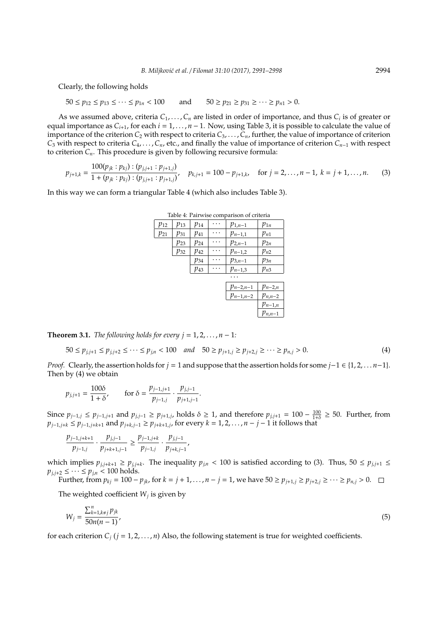Clearly, the following holds

$$
50 \le p_{12} \le p_{13} \le \cdots \le p_{1n} < 100 \quad \text{and} \quad 50 \ge p_{21} \ge p_{31} \ge \cdots \ge p_{n1} > 0.
$$

As we assumed above, criteria *C*1, . . . ,*C<sup>n</sup>* are listed in order of importance, and thus *C<sup>i</sup>* is of greater or equal importance as  $C_{i+1}$ , for each  $i = 1, ..., n - 1$ . Now, using Table 3, it is possible to calculate the value of importance of the criterion  $C_2$  with respect to criteria  $C_3, \ldots, C_n$ , further, the value of importance of criterion *C*<sup>3</sup> with respect to criteria *C*4, . . . ,*Cn*, etc., and finally the value of importance of criterion *Cn*−<sup>1</sup> with respect to criterion  $C_n$ . This procedure is given by following recursive formula:

$$
p_{j+1,k} = \frac{100(p_{jk}:p_{kj}): (p_{j,j+1}:p_{j+1,j})}{1 + (p_{jk}:p_{kj}): (p_{j,j+1}:p_{j+1,j})}, \quad p_{k,j+1} = 100 - p_{j+1,k}, \quad \text{for } j = 2,\ldots, n-1, \ k = j+1,\ldots, n. \tag{3}
$$

In this way we can form a triangular Table 4 (which also includes Table 3).

 $\mathsf{L}$ 

|          |          |          | as is a survice companion or chiefin |             |
|----------|----------|----------|--------------------------------------|-------------|
| $p_{12}$ | $p_{13}$ | $p_{14}$ | $p_{1,n-1}$                          | $p_{1n}$    |
| $p_{21}$ | $p_{31}$ | $p_{41}$ | $p_{n-1,1}$                          | $p_{n1}$    |
|          | P23      | $p_{24}$ | $p_{2,n-1}$                          | $p_{2n}$    |
|          | $p_{32}$ | $p_{42}$ | $p_{n-1,2}$                          | $p_{n2}$    |
|          |          | $p_{34}$ | $p_{3,n-1}$                          | $p_{3n}$    |
|          |          | $p_{43}$ | $p_{n-1,3}$                          | $p_{n3}$    |
|          |          |          |                                      |             |
|          |          |          | $p_{n-2,n-1}$                        | $p_{n-2,n}$ |
|          |          |          | $p_{n-1,n-2}$                        | $p_{n,n-2}$ |
|          |          |          |                                      | $p_{n-1,n}$ |
|          |          |          |                                      | $p_{n,n-1}$ |

Table 4: Pairwise comparison of criteria

**Theorem 3.1.** *The following holds for every*  $j = 1, 2, ..., n - 1$ *:* 

$$
50 \le p_{j,j+1} \le p_{j,j+2} \le \cdots \le p_{j,n} < 100 \quad \text{and} \quad 50 \ge p_{j+1,j} \ge p_{j+2,j} \ge \cdots \ge p_{n,j} > 0. \tag{4}
$$

*Proof.* Clearly, the assertion holds for *j* = 1 and suppose that the assertion holds for some *j*−1 ∈ {1, 2, . . . *n*−1}. Then by (4) we obtain

$$
p_{j,j+1} = \frac{100\delta}{1+\delta}, \qquad \text{for } \delta = \frac{p_{j-1,j+1}}{p_{j-1,j}} \cdot \frac{p_{j,j-1}}{p_{j+1,j-1}}.
$$

Since  $p_{j-1,j} \leq p_{j-1,j+1}$  and  $p_{j,j-1} \geq p_{j+1,j}$ , holds  $\delta \geq 1$ , and therefore  $p_{j,j+1} = 100 - \frac{100}{1+\delta} \geq 50$ . Further, from  $p_{j-1,j+k} \le p_{j-1,j+k+1}$  and  $p_{j+k,j-1} \ge p_{j+k+1,j}$ , for every  $k = 1, 2, ..., n-j-1$  it follows that

$$
\frac{p_{j-1,j+k+1}}{p_{j-1,j}} \cdot \frac{p_{j,j-1}}{p_{j+k+1,j-1}} \ge \frac{p_{j-1,j+k}}{p_{j-1,j}} \cdot \frac{p_{j,j-1}}{p_{j+k,j-1}},
$$

which implies  $p_{j,j+k+1} \geq p_{j,j+k}$ . The inequality  $p_{j,n} < 100$  is satisfied according to (3). Thus,  $50 \leq p_{j,j+1} \leq$  $p_{j,j+2} \leq \cdots \leq p_{j,n} < 100$  holds.

Further, from  $p_{kj} = 100 - p_{jk}$ , for  $k = j + 1, ..., n - j = 1$ , we have  $50 \ge p_{j+1,j} \ge p_{j+2,j} \ge ... \ge p_{n,j} > 0$ .

The weighted coefficient  $W_j$  is given by

$$
W_j = \frac{\sum_{k=1, k \neq j}^n p_{jk}}{50n(n-1)},
$$
\n(5)

for each criterion  $C_j$  ( $j = 1, 2, ..., n$ ) Also, the following statement is true for weighted coefficients.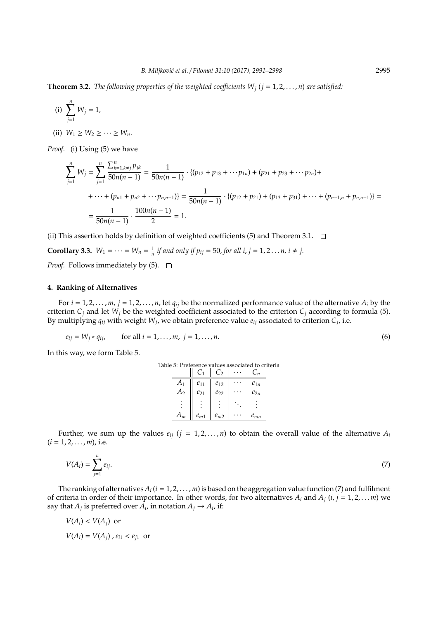**Theorem 3.2.** *The following properties of the weighted coefficients*  $W_i$  ( $j = 1, 2, ..., n$ ) *are satisfied:* 

(i) 
$$
\sum_{j=1}^{n} W_j = 1
$$
,

(ii)  $W_1 \ge W_2 \ge \cdots \ge W_n$ .

*Proof.* (i) Using (5) we have

$$
\sum_{j=1}^{n} W_{j} = \sum_{j=1}^{n} \frac{\sum_{k=1, k \neq j}^{n} p_{jk}}{50n(n-1)} = \frac{1}{50n(n-1)} \cdot \{(p_{12} + p_{13} + \cdots + p_{1n}) + (p_{21} + p_{23} + \cdots + p_{2n}) + \cdots + (p_{n1} + p_{n2} + \cdots + p_{n,n-1})\} = \frac{1}{50n(n-1)} \cdot \{(p_{12} + p_{21}) + (p_{13} + p_{31}) + \cdots + (p_{n-1,n} + p_{n,n-1})\} = \frac{1}{50n(n-1)} \cdot \frac{100n(n-1)}{2} = 1.
$$

(ii) This assertion holds by definition of weighted coefficients (5) and Theorem 3.1.  $\Box$ 

**Corollary 3.3.** 
$$
W_1 = \cdots = W_n = \frac{1}{n} \text{ if and only if } p_{ij} = 50, \text{ for all } i, j = 1, 2 \dots n, i \ne j.
$$

*Proof.* Follows immediately by  $(5)$ .  $\Box$ 

## **4. Ranking of Alternatives**

For  $i = 1, 2, \ldots, m$ ,  $j = 1, 2, \ldots, n$ , let  $q_{ij}$  be the normalized performance value of the alternative  $A_i$  by the criterion  $C_i$  and let  $W_j$  be the weighted coefficient associated to the criterion  $C_j$  according to formula (5). By multiplying  $q_{ij}$  with weight  $W_j$ , we obtain preference value  $e_{ij}$  associated to criterion  $C_j$ , i.e.

$$
e_{ij} = W_j * q_{ij}
$$
, for all  $i = 1, ..., m, j = 1, ..., n$ . (6)

In this way, we form Table 5.

 $(i = 1, 2, \ldots, m)$ , i.e.

| Table 5: Preference values associated to criteria |          |          |          |  |
|---------------------------------------------------|----------|----------|----------|--|
|                                                   |          | دت       |          |  |
|                                                   | $e_{11}$ | $e_{12}$ | $e_{1n}$ |  |
| ገን                                                | $e_{21}$ | $e_{22}$ | $e_{2n}$ |  |
|                                                   |          |          |          |  |
| $\mathbf{u}_m$                                    | $e_{m1}$ | $e_{m2}$ | $e_{mn}$ |  |

Further, we sum up the values  $e_{ii}$  ( $j = 1, 2, ..., n$ ) to obtain the overall value of the alternative  $A_i$ 

$$
V(A_i) = \sum_{j=1}^{n} e_{ij}.
$$
 (7)

The ranking of alternatives  $A_i$  ( $i = 1, 2, \ldots, m$ ) is based on the aggregation value function (7) and fulfilment of criteria in order of their importance. In other words, for two alternatives  $A_i$  and  $A_j$  ( $i, j = 1, 2, \ldots, m$ ) we say that  $A_j$  is preferred over  $\overline{A_i}$ , in notation  $A_j \to A_i$ , if:

$$
V(A_i) < V(A_j) \text{ or}
$$
\n
$$
V(A_i) = V(A_j) \cdot e_{i1} < e_{j1} \text{ or}
$$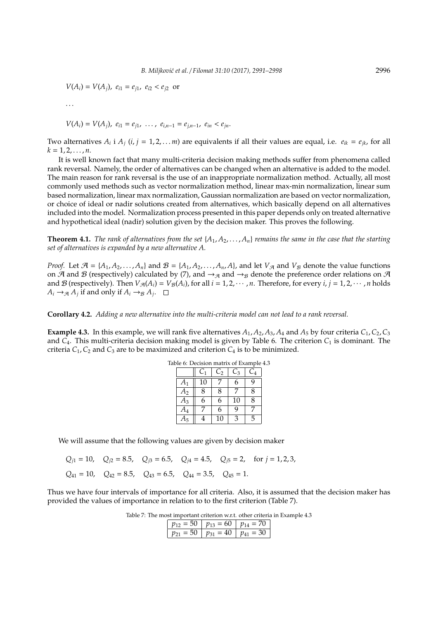$V(A_i) = V(A_j)$ ,  $e_{i1} = e_{j1}$ ,  $e_{i2} < e_{j2}$  or

$$
\ldots
$$

$$
V(A_i) = V(A_j), e_{i1} = e_{j1}, \ldots, e_{i,n-1} = e_{j,n-1}, e_{in} < e_{jn}.
$$

Two alternatives  $A_i$  i  $A_j$  ( $i, j = 1, 2, \ldots m$ ) are equivalents if all their values are equal, i.e.  $e_{ik} = e_{jk}$ , for all  $k = 1, 2, \ldots, n$ .

It is well known fact that many multi-criteria decision making methods suffer from phenomena called rank reversal. Namely, the order of alternatives can be changed when an alternative is added to the model. The main reason for rank reversal is the use of an inappropriate normalization method. Actually, all most commonly used methods such as vector normalization method, linear max-min normalization, linear sum based normalization, linear max normalization, Gaussian normalization are based on vector normalization, or choice of ideal or nadir solutions created from alternatives, which basically depend on all alternatives included into the model. Normalization process presented in this paper depends only on treated alternative and hypothetical ideal (nadir) solution given by the decision maker. This proves the following.

**Theorem 4.1.** *The rank of alternatives from the set*  $\{A_1, A_2, \ldots, A_n\}$  *remains the same in the case that the starting set of alternatives is expanded by a new alternative A.*

*Proof.* Let  $\mathcal{A} = \{A_1, A_2, \ldots, A_n\}$  and  $\mathcal{B} = \{A_1, A_2, \ldots, A_n, A\}$ , and let  $V_{\mathcal{A}}$  and  $V_{\mathcal{B}}$  denote the value functions on A and B (respectively) calculated by (7), and  $\rightarrow_{\mathcal{A}}$  and  $\rightarrow_{\mathcal{B}}$  denote the preference order relations on A and  $\mathcal{B}$  (respectively). Then  $V_{\mathcal{A}}(A_i) = V_{\mathcal{B}}(A_i)$ , for all  $i = 1, 2, \cdots, n$ . Therefore, for every  $i, j = 1, 2, \cdots, n$  holds  $A_i \rightarrow \mathcal{A}$  *A*<sub>*j*</sub> if and only if  $A_i \rightarrow \mathcal{B}$  *A*<sub>*j*</sub>.

**Corollary 4.2.** *Adding a new alternative into the multi-criteria model can not lead to a rank reversal.*

**Example 4.3.** In this example, we will rank five alternatives  $A_1$ ,  $A_2$ ,  $A_3$ ,  $A_4$  and  $A_5$  by four criteria  $C_1$ ,  $C_2$ ,  $C_3$ and *C*4. This multi-criteria decision making model is given by Table 6. The criterion *C*<sup>1</sup> is dominant. The criteria  $C_1$ ,  $C_2$  and  $C_3$  are to be maximized and criterion  $C_4$  is to be minimized.

|    | $\textcolor{black}{C_1}$ | C <sub>2</sub> | $C_3$ | $-4$ |
|----|--------------------------|----------------|-------|------|
| A1 | 10                       |                | 6     | q    |
| A2 | 8                        | 8              |       | 8    |
| A3 | 6                        | 6              | 10    | 8    |
| A4 |                          | 6              | q     |      |
|    |                          | 10             | 3     | 5    |

Table 6: Decision matrix of Example 4.3

We will assume that the following values are given by decision maker

|  |                                                                                   | $Q_{i1} = 10$ , $Q_{i2} = 8.5$ , $Q_{i3} = 6.5$ , $Q_{i4} = 4.5$ , $Q_{i5} = 2$ , for $j = 1, 2, 3$ , |
|--|-----------------------------------------------------------------------------------|-------------------------------------------------------------------------------------------------------|
|  | $Q_{41} = 10$ , $Q_{42} = 8.5$ , $Q_{43} = 6.5$ , $Q_{44} = 3.5$ , $Q_{45} = 1$ . |                                                                                                       |

Thus we have four intervals of importance for all criteria. Also, it is assumed that the decision maker has provided the values of importance in relation to to the first criterion (Table 7).

| Table 7: The most important criterion w.r.t. other criteria in Example 4.3 |  |  |
|----------------------------------------------------------------------------|--|--|
|                                                                            |  |  |

|  |     | —   |  |
|--|-----|-----|--|
|  | . . | - - |  |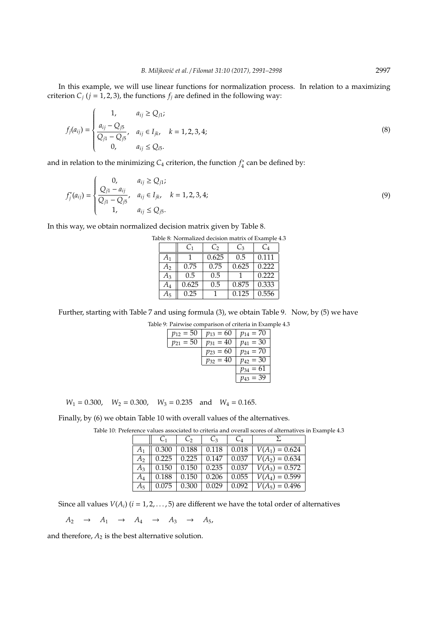In this example, we will use linear functions for normalization process. In relation to a maximizing criterion  $C_j$  ( $j = 1, 2, 3$ ), the functions  $f_j$  are defined in the following way:

$$
f_j(a_{ij}) = \begin{cases} 1, & a_{ij} \ge Q_{j1}; \\ \frac{a_{ij} - Q_{j5}}{Q_{j1} - Q_{j5}}, & a_{ij} \in I_{jk}, & k = 1, 2, 3, 4; \\ 0, & a_{ij} \le Q_{i5}. \end{cases}
$$
(8)

and in relation to the minimizing  $C_4$  criterion, the function  $f_4^*$  $\frac{1}{4}$  can be defined by:

$$
f_j^*(a_{ij}) = \begin{cases} 0, & a_{ij} \ge Q_{j1}; \\ \frac{Q_{j1} - a_{ij}}{Q_{j1} - Q_{j5}}, & a_{ij} \in I_{jk}, & k = 1, 2, 3, 4; \\ 1, & a_{ij} \le Q_{j5}. \end{cases}
$$
(9)

In this way, we obtain normalized decision matrix given by Table 8.

|       | C <sub>1</sub> | $C_2$ | $C_3$ | C <sub>4</sub> |
|-------|----------------|-------|-------|----------------|
| $A_1$ |                | 0.625 | 0.5   | 0.111          |
| А2    | 0.75           | 0.75  | 0.625 | 0.222          |
| $A_3$ | 0.5            | 0.5   |       | 0.222          |
| A4    | 0.625          | 0.5   | 0.875 | 0.333          |
| А5    | 0.25           |       | 0.125 | 0.556          |

Table 8: Normalized decision matrix of Example 4.3

Further, starting with Table 7 and using formula (3), we obtain Table 9. Now, by (5) we have

|               | Table 9: Pairwise comparison of criteria in Example 4.3 |                    |  |
|---------------|---------------------------------------------------------|--------------------|--|
| $p_{12} = 50$ | $p_{13} = 60$                                           | $p_{14} = 70$      |  |
| $p_{21} = 50$ | $p_{31} = 40$                                           | $p_{41} = 30$      |  |
|               | $p_{23} = 60$                                           | $p_{24} = 70$      |  |
|               | $p_{32} = 40$                                           | $p_{42} = 30$      |  |
|               |                                                         | $= 61$<br>$p_{34}$ |  |
|               |                                                         | $p_{43} = 39$      |  |

 $W_1 = 0.300$ ,  $W_2 = 0.300$ ,  $W_3 = 0.235$  and  $W_4 = 0.165$ .

Finally, by (6) we obtain Table 10 with overall values of the alternatives.

|       |       | $\mathcal{C}_{2}$ | $C_3$         |       |                  |
|-------|-------|-------------------|---------------|-------|------------------|
| A1    | 0.300 |                   | $0.188$ 0.118 | 0.018 | $V(A_1) = 0.624$ |
| А2    | 0.225 | 0.225             | 0.147         | 0.037 | $V(A_2) = 0.634$ |
| $A_3$ | 0.150 | 0.150             | 0.235         | 0.037 | $V(A_3) = 0.572$ |
| A4    | 0.188 | 0.150             | 0.206         | 0.055 | $V(A_4) = 0.599$ |
| $A_5$ | 0.075 | 0.300             | 0.029         | 0.092 | $V(A_5) = 0.496$ |

Table 10: Preference values associated to criteria and overall scores of alternatives in Example 4.3

Since all values  $V(A_i)$  ( $i = 1, 2, ..., 5$ ) are different we have the total order of alternatives

 $A_2 \rightarrow A_1 \rightarrow A_4 \rightarrow A_3 \rightarrow A_5$ 

and therefore,  $A_2$  is the best alternative solution.